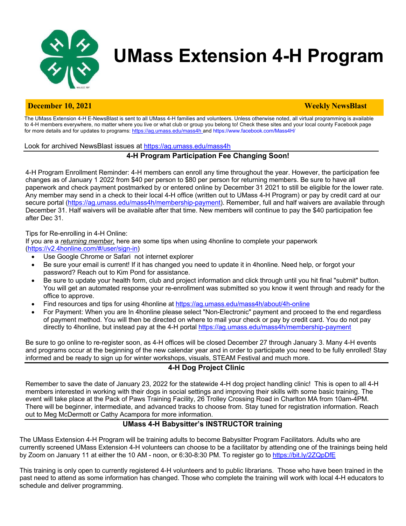

# **UMass Extension 4-H Program**

# **December 10, 2021** Weekly **NewsBlast**

The UMass Extension 4-H E-NewsBlast is sent to all UMass 4-H families and volunteers. Unless otherwise noted, all virtual programming is available to 4-H members everywhere, no matter where you live or what club or group you belong to! Check these sites and your local county Facebook page for more details and for updates to programs: https://ag.umass.edu/mass4h and https://www.facebook.com/Mass4H/

#### Look for archived NewsBlast issues at https://ag.umass.edu/mass4h

# **4-H Program Participation Fee Changing Soon!**

4-H Program Enrollment Reminder: 4-H members can enroll any time throughout the year. However, the participation fee changes as of January 1 2022 from \$40 per person to \$80 per person for returning members. Be sure to have all paperwork and check payment postmarked by or entered online by December 31 2021 to still be eligible for the lower rate. Any member may send in a check to their local 4-H office (written out to UMass 4-H Program) or pay by credit card at our secure portal (https://ag.umass.edu/mass4h/membership-payment). Remember, full and half waivers are available through December 31. Half waivers will be available after that time. New members will continue to pay the \$40 participation fee after Dec 31.

#### Tips for Re-enrolling in 4-H Online:

If you are a *returning member,* here are some tips when using 4honline to complete your paperwork (https://v2.4honline.com/#/user/sign-in)

- Use Google Chrome or Safari not internet explorer
- Be sure your email is current! If it has changed you need to update it in 4honline. Need help, or forgot your password? Reach out to Kim Pond for assistance.
- Be sure to update your health form, club and project information and click through until you hit final "submit" button. You will get an automated response your re-enrollment was submitted so you know it went through and ready for the office to approve.
- Find resources and tips for using 4honline at https://ag.umass.edu/mass4h/about/4h-online
- For Payment: When you are In 4honline please select "Non-Electronic" payment and proceed to the end regardless of payment method. You will then be directed on where to mail your check or pay by credit card. You do not pay directly to 4honline, but instead pay at the 4-H portal https://ag.umass.edu/mass4h/membership-payment

Be sure to go online to re-register soon, as 4-H offices will be closed December 27 through January 3. Many 4-H events and programs occur at the beginning of the new calendar year and in order to participate you need to be fully enrolled! Stay informed and be ready to sign up for winter workshops, visuals, STEAM Festival and much more.

# **4-H Dog Project Clinic**

Remember to save the date of January 23, 2022 for the statewide 4-H dog project handling clinic! This is open to all 4-H members interested in working with their dogs in social settings and improving their skills with some basic training. The event will take place at the Pack of Paws Training Facility, 26 Trolley Crossing Road in Charlton MA from 10am-4PM. There will be beginner, intermediate, and advanced tracks to choose from. Stay tuned for registration information. Reach out to Meg McDermott or Cathy Acampora for more information.

# **UMass 4-H Babysitter's INSTRUCTOR training**

The UMass Extension 4-H Program will be training adults to become Babysitter Program Facilitators. Adults who are currently screened UMass Extension 4-H volunteers can choose to be a facilitator by attending one of the trainings being held by Zoom on January 11 at either the 10 AM - noon, or 6:30-8:30 PM. To register go to https://bit.ly/2ZQpDfE

This training is only open to currently registered 4-H volunteers and to public librarians. Those who have been trained in the past need to attend as some information has changed. Those who complete the training will work with local 4-H educators to schedule and deliver programming.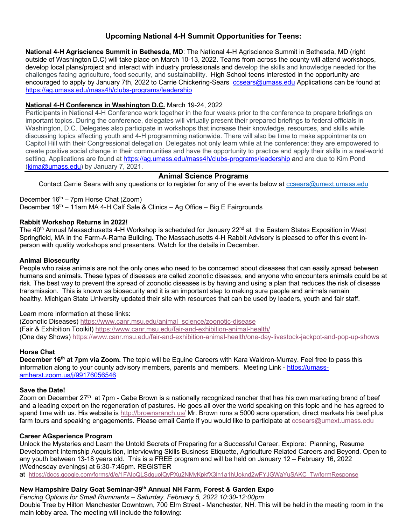# **Upcoming National 4-H Summit Opportunities for Teens:**

**National 4-H Agriscience Summit in Bethesda, MD**: The National 4-H Agriscience Summit in Bethesda, MD (right outside of Washington D.C) will take place on March 10-13, 2022. Teams from across the county will attend workshops, develop local plans/project and interact with industry professionals and develop the skills and knowledge needed for the challenges facing agriculture, food security, and sustainability. High School teens interested in the opportunity are encouraged to apply by January 7th, 2022 to Carrie Chickering-Sears ccsears@umass.edu Applications can be found at https://ag.umass.edu/mass4h/clubs-programs/leadership

### **National 4-H Conference in Washington D.C.** March 19-24, 2022

Participants in National 4-H Conference work together in the four weeks prior to the conference to prepare briefings on important topics. During the conference, delegates will virtually present their prepared briefings to federal officials in Washington, D.C. Delegates also participate in workshops that increase their knowledge, resources, and skills while discussing topics affecting youth and 4-H programming nationwide. There will also be time to make appointments on Capitol Hill with their Congressional delegation Delegates not only learn while at the conference: they are empowered to create positive social change in their communities and have the opportunity to practice and apply their skills in a real-world setting. Applications are found at https://ag.umass.edu/mass4h/clubs-programs/leadership and are due to Kim Pond (kima@umass.edu) by January 7, 2021.

### **Animal Science Programs**

Contact Carrie Sears with any questions or to register for any of the events below at ccsears@umext.umass.edu

December  $16<sup>th</sup> - 7$ pm Horse Chat (Zoom) December  $19<sup>th</sup> - 11$ am MA 4-H Calf Sale & Clinics – Ag Office – Big E Fairgrounds

#### **Rabbit Workshop Returns in 2022!**

The 40<sup>th</sup> Annual Massachusetts 4-H Workshop is scheduled for January 22<sup>nd</sup> at the Eastern States Exposition in West Springfield, MA in the Farm-A-Rama Building. The Massachusetts 4-H Rabbit Advisory is pleased to offer this event inperson with quality workshops and presenters. Watch for the details in December.

#### **Animal Biosecurity**

People who raise animals are not the only ones who need to be concerned about diseases that can easily spread between humans and animals. These types of diseases are called zoonotic diseases, and anyone who encounters animals could be at risk. The best way to prevent the spread of zoonotic diseases is by having and using a plan that reduces the risk of disease transmission. This is known as biosecurity and it is an important step to making sure people and animals remain healthy. Michigan State University updated their site with resources that can be used by leaders, youth and fair staff.

#### Learn more information at these links:

(Zoonotic Diseases) https://www.canr.msu.edu/animal\_science/zoonotic-disease (Fair & Exhibition Toolkit) https://www.canr.msu.edu/fair-and-exhibition-animal-health/ (One day Shows) https://www.canr.msu.edu/fair-and-exhibition-animal-health/one-day-livestock-jackpot-and-pop-up-shows

#### **Horse Chat**

**December 16th at 7pm via Zoom.** The topic will be Equine Careers with Kara Waldron-Murray. Feel free to pass this information along to your county advisory members, parents and members. Meeting Link - https://umassamherst.zoom.us/j/99176056546

#### **Save the Date!**

Zoom on December 27<sup>th</sup> at 7pm - Gabe Brown is a nationally recognized rancher that has his own marketing brand of beef and a leading expert on the regeneration of pastures. He goes all over the world speaking on this topic and he has agreed to spend time with us. His website is http://brownsranch.us/ Mr. Brown runs a 5000 acre operation, direct markets his beef plus farm tours and speaking engagements. Please email Carrie if you would like to participate at ccsears@umext.umass.edu

#### **Career AGsperience Program**

Unlock the Mysteries and Learn the Untold Secrets of Preparing for a Successful Career. Explore: Planning, Resume Development Internship Acquisition, Interviewing Skills Business Etiquette, Agriculture Related Careers and Beyond. Open to any youth between 13-18 years old. This is a FREE program and will be held on January 12 – February 16, 2022 (Wednesday evenings) at 6:30-7:45pm. REGISTER

at https://docs.google.com/forms/d/e/1FAIpQLSdguolQyPXu2NMyKpkfX3ln1a1hUoknd2wFYJGWaYuSAKC\_Tw/formResponse

# **New Hampshire Dairy Goat Seminar-39th Annual NH Farm, Forest & Garden Expo**

*Fencing Options for Small Ruminants – Saturday, February 5, 2022 10:30-12:00pm* Double Tree by Hilton Manchester Downtown, 700 Elm Street - Manchester, NH. This will be held in the meeting room in the main lobby area. The meeting will include the following: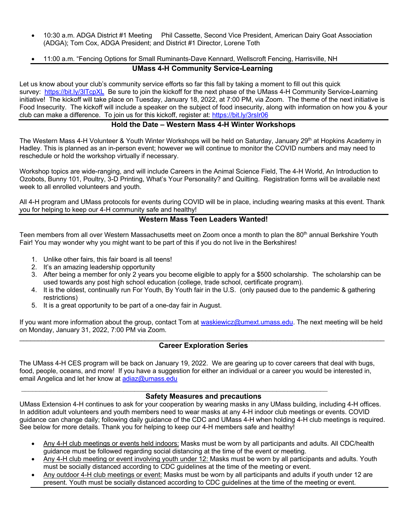- 10:30 a.m. ADGA District #1 Meeting Phil Cassette, Second Vice President, American Dairy Goat Association (ADGA); Tom Cox, ADGA President; and District #1 Director, Lorene Toth
- 11:00 a.m. "Fencing Options for Small Ruminants-Dave Kennard, Wellscroft Fencing, Harrisville, NH

# **UMass 4-H Community Service-Learning**

Let us know about your club's community service efforts so far this fall by taking a moment to fill out this quick survey: https://bit.ly/3lTcpXL Be sure to join the kickoff for the next phase of the UMass 4-H Community Service-Learning initiative! The kickoff will take place on Tuesday, January 18, 2022, at 7:00 PM, via Zoom. The theme of the next initiative is Food Insecurity. The kickoff will include a speaker on the subject of food insecurity, along with information on how you & your club can make a difference. To join us for this kickoff, register at: https://bit.ly/3rsIr06

# **Hold the Date – Western Mass 4-H Winter Workshops**

The Western Mass 4-H Volunteer & Youth Winter Workshops will be held on Saturday, January 29<sup>th</sup> at Hopkins Academy in Hadley. This is planned as an in-person event; however we will continue to monitor the COVID numbers and may need to reschedule or hold the workshop virtually if necessary.

Workshop topics are wide-ranging, and will include Careers in the Animal Science Field, The 4-H World, An Introduction to Ozobots, Bunny 101, Poultry, 3-D Printing, What's Your Personality? and Quilting. Registration forms will be available next week to all enrolled volunteers and youth.

All 4-H program and UMass protocols for events during COVID will be in place, including wearing masks at this event. Thank you for helping to keep our 4-H community safe and healthy!

#### **Western Mass Teen Leaders Wanted!**

Teen members from all over Western Massachusetts meet on Zoom once a month to plan the 80<sup>th</sup> annual Berkshire Youth Fair! You may wonder why you might want to be part of this if you do not live in the Berkshires!

- 1. Unlike other fairs, this fair board is all teens!
- 2. It's an amazing leadership opportunity
- 3. After being a member for only 2 years you become eligible to apply for a \$500 scholarship. The scholarship can be used towards any post high school education (college, trade school, certificate program).
- 4. It is the oldest, continually run For Youth, By Youth fair in the U.S. (only paused due to the pandemic & gathering restrictions)
- 5. It is a great opportunity to be part of a one-day fair in August.

If you want more information about the group, contact Tom at waskiewicz@umext.umass.edu. The next meeting will be held on Monday, January 31, 2022, 7:00 PM via Zoom.

#### \_\_\_\_\_\_\_\_\_\_\_\_\_\_\_\_\_\_\_\_\_\_\_\_\_\_\_\_\_\_\_\_\_\_\_\_\_\_\_\_\_\_\_\_\_\_\_\_\_\_\_\_\_\_\_\_\_\_\_\_\_\_\_\_\_\_\_\_\_\_\_\_\_\_\_\_\_\_\_\_\_\_\_\_\_\_\_\_\_\_\_\_\_\_\_\_\_\_\_ **Career Exploration Series**

The UMass 4-H CES program will be back on January 19, 2022. We are gearing up to cover careers that deal with bugs, food, people, oceans, and more! If you have a suggestion for either an individual or a career you would be interested in, email Angelica and let her know at adiaz@umass.edu

 $\mathcal{L}_\mathcal{L} = \{ \mathcal{L}_\mathcal{L} = \{ \mathcal{L}_\mathcal{L} = \{ \mathcal{L}_\mathcal{L} = \{ \mathcal{L}_\mathcal{L} = \{ \mathcal{L}_\mathcal{L} = \{ \mathcal{L}_\mathcal{L} = \{ \mathcal{L}_\mathcal{L} = \{ \mathcal{L}_\mathcal{L} = \{ \mathcal{L}_\mathcal{L} = \{ \mathcal{L}_\mathcal{L} = \{ \mathcal{L}_\mathcal{L} = \{ \mathcal{L}_\mathcal{L} = \{ \mathcal{L}_\mathcal{L} = \{ \mathcal{L}_\mathcal{$ 

#### **Safety Measures and precautions**

UMass Extension 4-H continues to ask for your cooperation by wearing masks in any UMass building, including 4-H offices. In addition adult volunteers and youth members need to wear masks at any 4-H indoor club meetings or events. COVID guidance can change daily; following daily guidance of the CDC and UMass 4-H when holding 4-H club meetings is required. See below for more details. Thank you for helping to keep our 4-H members safe and healthy!

- Any 4-H club meetings or events held indoors: Masks must be worn by all participants and adults. All CDC/health guidance must be followed regarding social distancing at the time of the event or meeting.
- Any 4-H club meeting or event involving youth under 12: Masks must be worn by all participants and adults. Youth must be socially distanced according to CDC guidelines at the time of the meeting or event.
- Any outdoor 4-H club meetings or event: Masks must be worn by all participants and adults if youth under 12 are present. Youth must be socially distanced according to CDC guidelines at the time of the meeting or event.